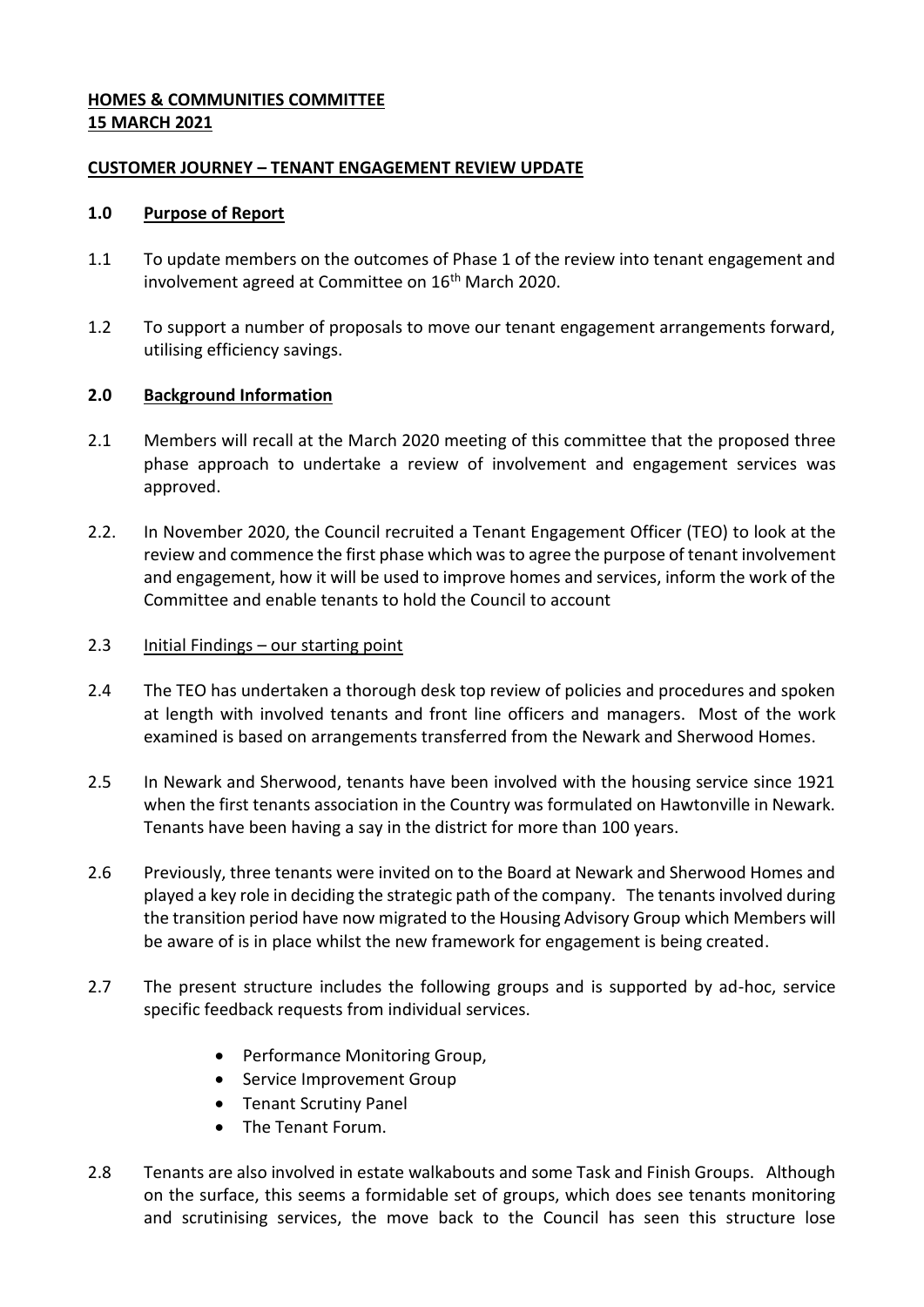### **HOMES & COMMUNITIES COMMITTEE 15 MARCH 2021**

### **CUSTOMER JOURNEY – TENANT ENGAGEMENT REVIEW UPDATE**

### **1.0 Purpose of Report**

- 1.1 To update members on the outcomes of Phase 1 of the review into tenant engagement and involvement agreed at Committee on 16<sup>th</sup> March 2020.
- 1.2 To support a number of proposals to move our tenant engagement arrangements forward, utilising efficiency savings.

### **2.0 Background Information**

- 2.1 Members will recall at the March 2020 meeting of this committee that the proposed three phase approach to undertake a review of involvement and engagement services was approved.
- 2.2. In November 2020, the Council recruited a Tenant Engagement Officer (TEO) to look at the review and commence the first phase which was to agree the purpose of tenant involvement and engagement, how it will be used to improve homes and services, inform the work of the Committee and enable tenants to hold the Council to account

### 2.3 Initial Findings – our starting point

- 2.4 The TEO has undertaken a thorough desk top review of policies and procedures and spoken at length with involved tenants and front line officers and managers. Most of the work examined is based on arrangements transferred from the Newark and Sherwood Homes.
- 2.5 In Newark and Sherwood, tenants have been involved with the housing service since 1921 when the first tenants association in the Country was formulated on Hawtonville in Newark. Tenants have been having a say in the district for more than 100 years.
- 2.6 Previously, three tenants were invited on to the Board at Newark and Sherwood Homes and played a key role in deciding the strategic path of the company. The tenants involved during the transition period have now migrated to the Housing Advisory Group which Members will be aware of is in place whilst the new framework for engagement is being created.
- 2.7 The present structure includes the following groups and is supported by ad-hoc, service specific feedback requests from individual services.
	- Performance Monitoring Group,
	- Service Improvement Group
	- Tenant Scrutiny Panel
	- The Tenant Forum.
- 2.8 Tenants are also involved in estate walkabouts and some Task and Finish Groups. Although on the surface, this seems a formidable set of groups, which does see tenants monitoring and scrutinising services, the move back to the Council has seen this structure lose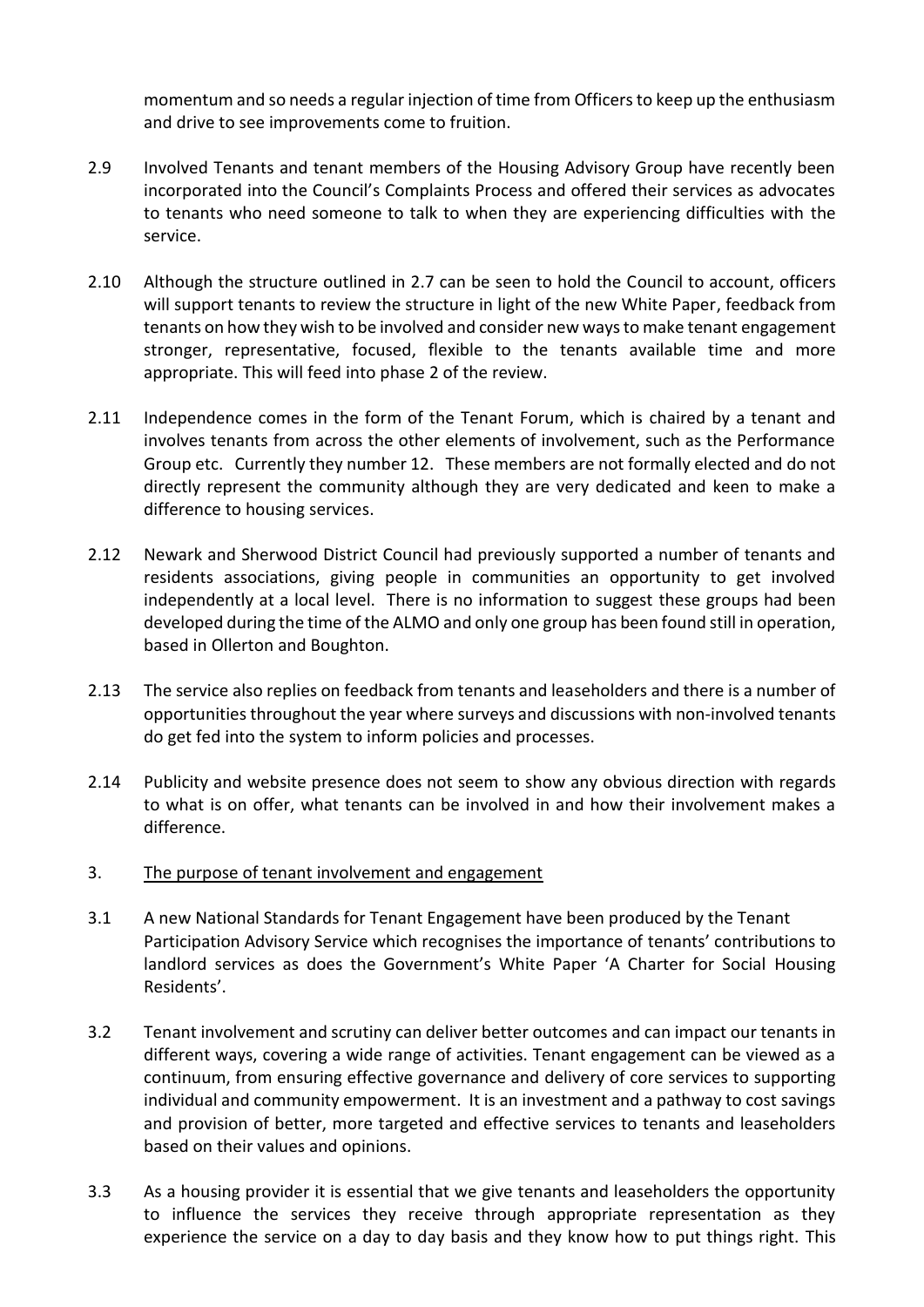momentum and so needs a regular injection of time from Officers to keep up the enthusiasm and drive to see improvements come to fruition.

- 2.9 Involved Tenants and tenant members of the Housing Advisory Group have recently been incorporated into the Council's Complaints Process and offered their services as advocates to tenants who need someone to talk to when they are experiencing difficulties with the service.
- 2.10 Although the structure outlined in 2.7 can be seen to hold the Council to account, officers will support tenants to review the structure in light of the new White Paper, feedback from tenants on how they wish to be involved and consider new ways to make tenant engagement stronger, representative, focused, flexible to the tenants available time and more appropriate. This will feed into phase 2 of the review.
- 2.11 Independence comes in the form of the Tenant Forum, which is chaired by a tenant and involves tenants from across the other elements of involvement, such as the Performance Group etc. Currently they number 12. These members are not formally elected and do not directly represent the community although they are very dedicated and keen to make a difference to housing services.
- 2.12 Newark and Sherwood District Council had previously supported a number of tenants and residents associations, giving people in communities an opportunity to get involved independently at a local level. There is no information to suggest these groups had been developed during the time of the ALMO and only one group has been found still in operation, based in Ollerton and Boughton.
- 2.13 The service also replies on feedback from tenants and leaseholders and there is a number of opportunities throughout the year where surveys and discussions with non-involved tenants do get fed into the system to inform policies and processes.
- 2.14 Publicity and website presence does not seem to show any obvious direction with regards to what is on offer, what tenants can be involved in and how their involvement makes a difference.
- 3. The purpose of tenant involvement and engagement
- 3.1 A new National Standards for Tenant Engagement have been produced by the Tenant Participation Advisory Service which recognises the importance of tenants' contributions to landlord services as does the Government's White Paper 'A Charter for Social Housing Residents'.
- 3.2 Tenant involvement and scrutiny can deliver better outcomes and can impact our tenants in different ways, covering a wide range of activities. Tenant engagement can be viewed as a continuum, from ensuring effective governance and delivery of core services to supporting individual and community empowerment. It is an investment and a pathway to cost savings and provision of better, more targeted and effective services to tenants and leaseholders based on their values and opinions.
- 3.3 As a housing provider it is essential that we give tenants and leaseholders the opportunity to influence the services they receive through appropriate representation as they experience the service on a day to day basis and they know how to put things right. This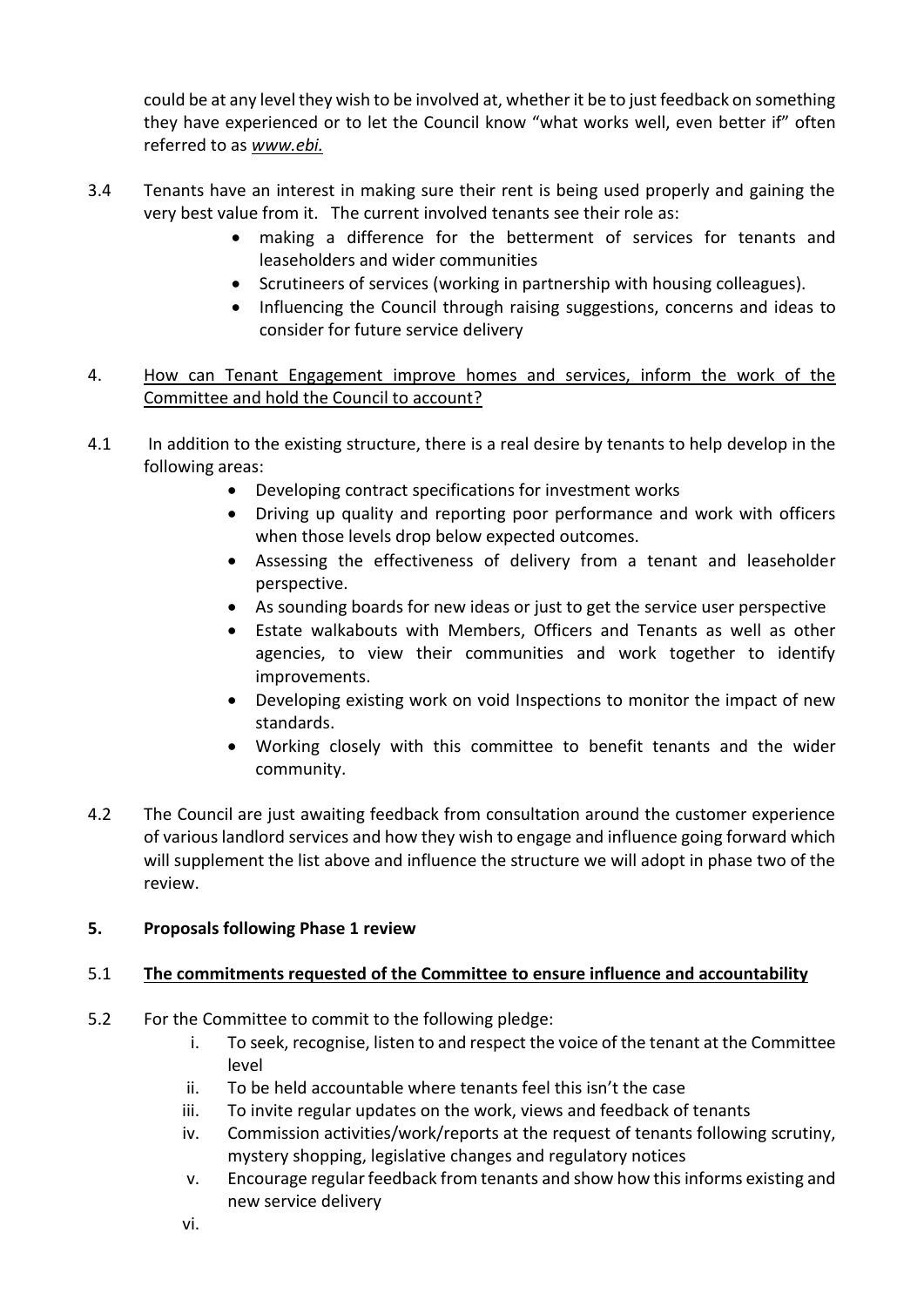could be at any level they wish to be involved at, whether it be to just feedback on something they have experienced or to let the Council know "what works well, even better if" often referred to as *www.ebi.*

- 3.4 Tenants have an interest in making sure their rent is being used properly and gaining the very best value from it. The current involved tenants see their role as:
	- making a difference for the betterment of services for tenants and leaseholders and wider communities
	- Scrutineers of services (working in partnership with housing colleagues).
	- Influencing the Council through raising suggestions, concerns and ideas to consider for future service delivery
- 4. How can Tenant Engagement improve homes and services, inform the work of the Committee and hold the Council to account?
- 4.1 In addition to the existing structure, there is a real desire by tenants to help develop in the following areas:
	- Developing contract specifications for investment works
	- Driving up quality and reporting poor performance and work with officers when those levels drop below expected outcomes.
	- Assessing the effectiveness of delivery from a tenant and leaseholder perspective.
	- As sounding boards for new ideas or just to get the service user perspective
	- Estate walkabouts with Members, Officers and Tenants as well as other agencies, to view their communities and work together to identify improvements.
	- Developing existing work on void Inspections to monitor the impact of new standards.
	- Working closely with this committee to benefit tenants and the wider community.
- 4.2 The Council are just awaiting feedback from consultation around the customer experience of various landlord services and how they wish to engage and influence going forward which will supplement the list above and influence the structure we will adopt in phase two of the review.

# **5. Proposals following Phase 1 review**

# 5.1 **The commitments requested of the Committee to ensure influence and accountability**

- 5.2 For the Committee to commit to the following pledge:
	- i. To seek, recognise, listen to and respect the voice of the tenant at the Committee level
	- ii. To be held accountable where tenants feel this isn't the case
	- iii. To invite regular updates on the work, views and feedback of tenants
	- iv. Commission activities/work/reports at the request of tenants following scrutiny, mystery shopping, legislative changes and regulatory notices
	- v. Encourage regular feedback from tenants and show how this informs existing and new service delivery
	- vi.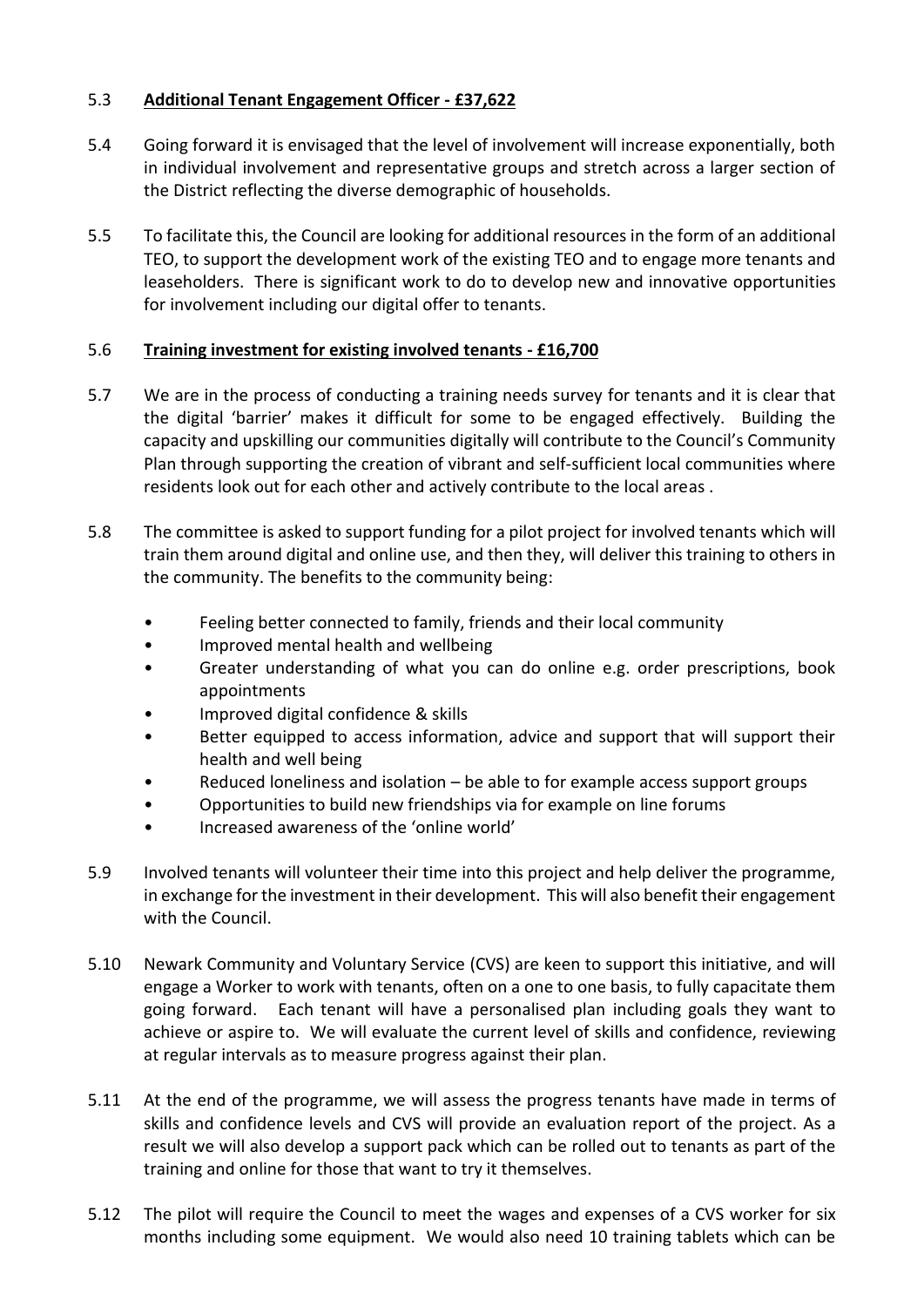## 5.3 **Additional Tenant Engagement Officer - £37,622**

- 5.4 Going forward it is envisaged that the level of involvement will increase exponentially, both in individual involvement and representative groups and stretch across a larger section of the District reflecting the diverse demographic of households.
- 5.5 To facilitate this, the Council are looking for additional resources in the form of an additional TEO, to support the development work of the existing TEO and to engage more tenants and leaseholders. There is significant work to do to develop new and innovative opportunities for involvement including our digital offer to tenants.

## 5.6 **Training investment for existing involved tenants - £16,700**

- 5.7 We are in the process of conducting a training needs survey for tenants and it is clear that the digital 'barrier' makes it difficult for some to be engaged effectively. Building the capacity and upskilling our communities digitally will contribute to the Council's Community Plan through supporting the creation of vibrant and self-sufficient local communities where residents look out for each other and actively contribute to the local areas .
- 5.8 The committee is asked to support funding for a pilot project for involved tenants which will train them around digital and online use, and then they, will deliver this training to others in the community. The benefits to the community being:
	- Feeling better connected to family, friends and their local community
	- Improved mental health and wellbeing
	- Greater understanding of what you can do online e.g. order prescriptions, book appointments
	- Improved digital confidence & skills
	- Better equipped to access information, advice and support that will support their health and well being
	- Reduced loneliness and isolation be able to for example access support groups
	- Opportunities to build new friendships via for example on line forums
	- Increased awareness of the 'online world'
- 5.9 Involved tenants will volunteer their time into this project and help deliver the programme, in exchange for the investment in their development. This will also benefit their engagement with the Council.
- 5.10 Newark Community and Voluntary Service (CVS) are keen to support this initiative, and will engage a Worker to work with tenants, often on a one to one basis, to fully capacitate them going forward. Each tenant will have a personalised plan including goals they want to achieve or aspire to. We will evaluate the current level of skills and confidence, reviewing at regular intervals as to measure progress against their plan.
- 5.11 At the end of the programme, we will assess the progress tenants have made in terms of skills and confidence levels and CVS will provide an evaluation report of the project. As a result we will also develop a support pack which can be rolled out to tenants as part of the training and online for those that want to try it themselves.
- 5.12 The pilot will require the Council to meet the wages and expenses of a CVS worker for six months including some equipment. We would also need 10 training tablets which can be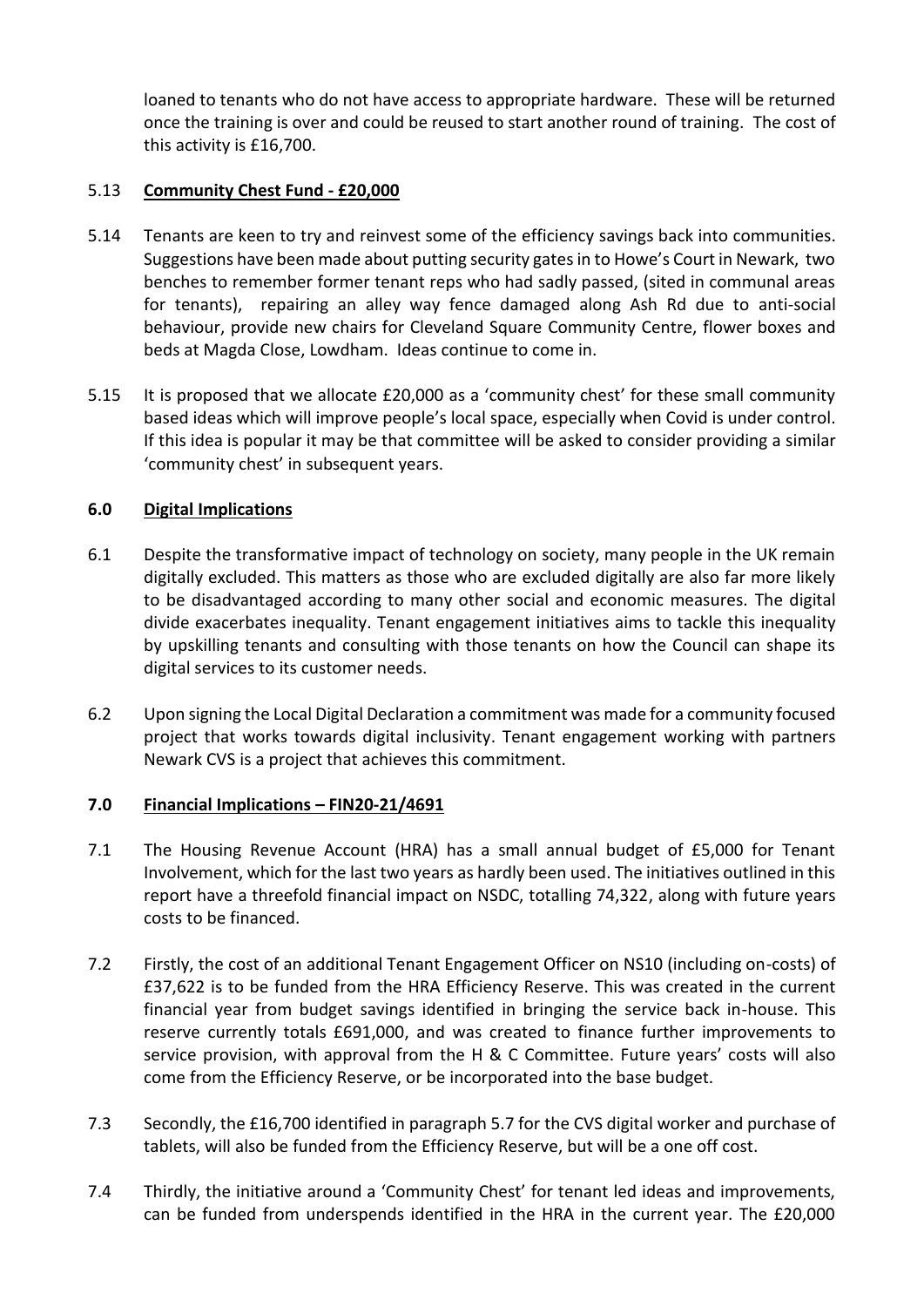loaned to tenants who do not have access to appropriate hardware. These will be returned once the training is over and could be reused to start another round of training. The cost of this activity is £16,700.

## 5.13 **Community Chest Fund - £20,000**

- 5.14 Tenants are keen to try and reinvest some of the efficiency savings back into communities. Suggestions have been made about putting security gates in to Howe's Court in Newark, two benches to remember former tenant reps who had sadly passed, (sited in communal areas for tenants), repairing an alley way fence damaged along Ash Rd due to anti-social behaviour, provide new chairs for Cleveland Square Community Centre, flower boxes and beds at Magda Close, Lowdham. Ideas continue to come in.
- 5.15 It is proposed that we allocate £20,000 as a 'community chest' for these small community based ideas which will improve people's local space, especially when Covid is under control. If this idea is popular it may be that committee will be asked to consider providing a similar 'community chest' in subsequent years.

## **6.0 Digital Implications**

- 6.1 Despite the transformative impact of technology on society, many people in the UK remain digitally excluded. This matters as those who are excluded digitally are also far more likely to be disadvantaged according to many other social and economic measures. The digital divide exacerbates inequality. Tenant engagement initiatives aims to tackle this inequality by upskilling tenants and consulting with those tenants on how the Council can shape its digital services to its customer needs.
- 6.2 Upon signing the Local Digital Declaration a commitment was made for a community focused project that works towards digital inclusivity. Tenant engagement working with partners Newark CVS is a project that achieves this commitment.

## **7.0 Financial Implications – FIN20-21/4691**

- 7.1 The Housing Revenue Account (HRA) has a small annual budget of £5,000 for Tenant Involvement, which for the last two years as hardly been used. The initiatives outlined in this report have a threefold financial impact on NSDC, totalling 74,322, along with future years costs to be financed.
- 7.2 Firstly, the cost of an additional Tenant Engagement Officer on NS10 (including on-costs) of £37,622 is to be funded from the HRA Efficiency Reserve. This was created in the current financial year from budget savings identified in bringing the service back in-house. This reserve currently totals £691,000, and was created to finance further improvements to service provision, with approval from the H & C Committee. Future years' costs will also come from the Efficiency Reserve, or be incorporated into the base budget.
- 7.3 Secondly, the £16,700 identified in paragraph 5.7 for the CVS digital worker and purchase of tablets, will also be funded from the Efficiency Reserve, but will be a one off cost.
- 7.4 Thirdly, the initiative around a 'Community Chest' for tenant led ideas and improvements, can be funded from underspends identified in the HRA in the current year. The £20,000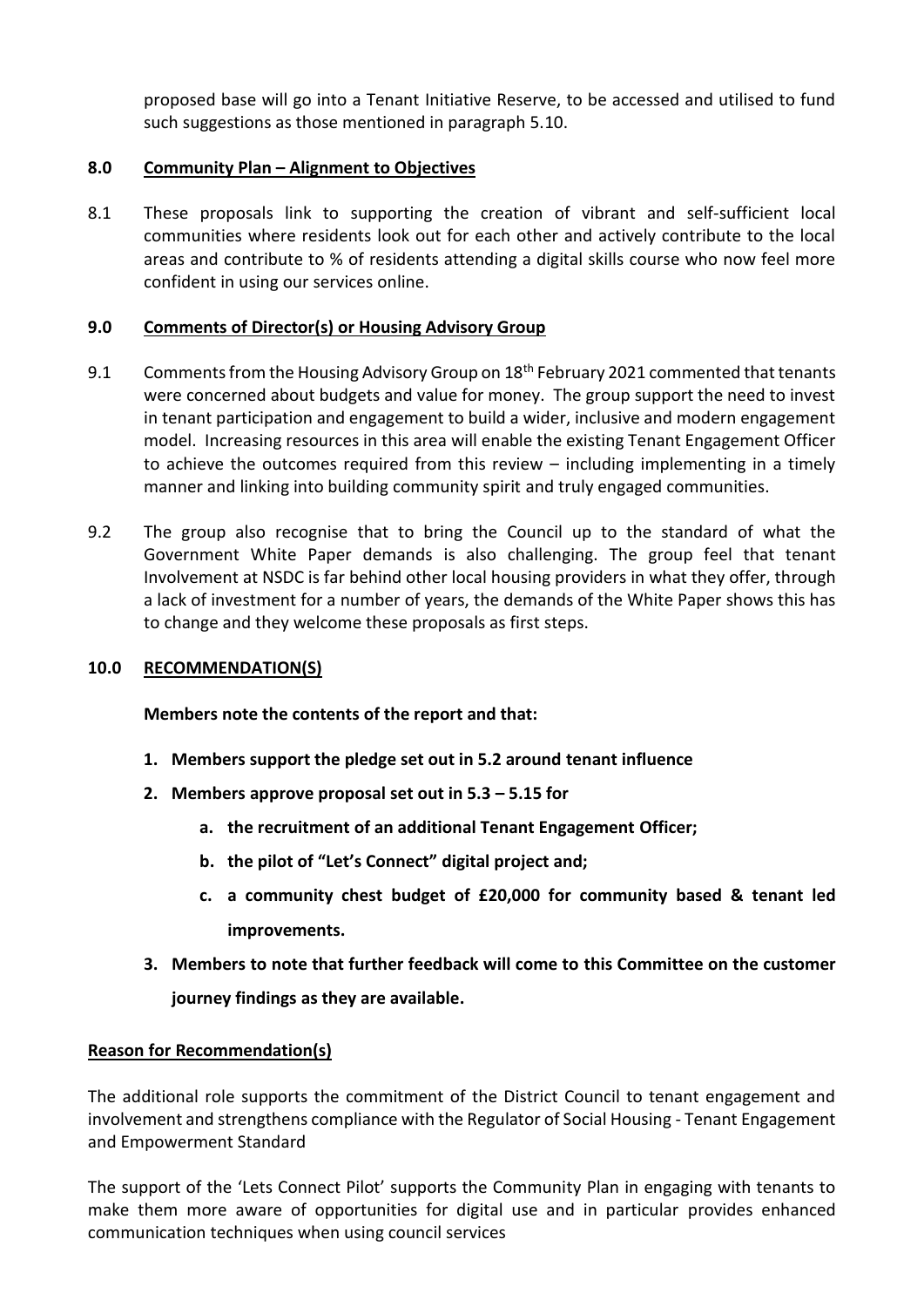proposed base will go into a Tenant Initiative Reserve, to be accessed and utilised to fund such suggestions as those mentioned in paragraph 5.10.

### **8.0 Community Plan – Alignment to Objectives**

8.1 These proposals link to supporting the creation of vibrant and self-sufficient local communities where residents look out for each other and actively contribute to the local areas and contribute to % of residents attending a digital skills course who now feel more confident in using our services online.

### **9.0 Comments of Director(s) or Housing Advisory Group**

- 9.1 Comments from the Housing Advisory Group on 18<sup>th</sup> February 2021 commented that tenants were concerned about budgets and value for money. The group support the need to invest in tenant participation and engagement to build a wider, inclusive and modern engagement model. Increasing resources in this area will enable the existing Tenant Engagement Officer to achieve the outcomes required from this review – including implementing in a timely manner and linking into building community spirit and truly engaged communities.
- 9.2 The group also recognise that to bring the Council up to the standard of what the Government White Paper demands is also challenging. The group feel that tenant Involvement at NSDC is far behind other local housing providers in what they offer, through a lack of investment for a number of years, the demands of the White Paper shows this has to change and they welcome these proposals as first steps.

## **10.0 RECOMMENDATION(S)**

**Members note the contents of the report and that:**

- **1. Members support the pledge set out in 5.2 around tenant influence**
- **2. Members approve proposal set out in 5.3 – 5.15 for**
	- **a. the recruitment of an additional Tenant Engagement Officer;**
	- **b. the pilot of "Let's Connect" digital project and;**
	- **c. a community chest budget of £20,000 for community based & tenant led improvements.**
- **3. Members to note that further feedback will come to this Committee on the customer journey findings as they are available.**

#### **Reason for Recommendation(s)**

The additional role supports the commitment of the District Council to tenant engagement and involvement and strengthens compliance with the Regulator of Social Housing - Tenant Engagement and Empowerment Standard

The support of the 'Lets Connect Pilot' supports the Community Plan in engaging with tenants to make them more aware of opportunities for digital use and in particular provides enhanced communication techniques when using council services